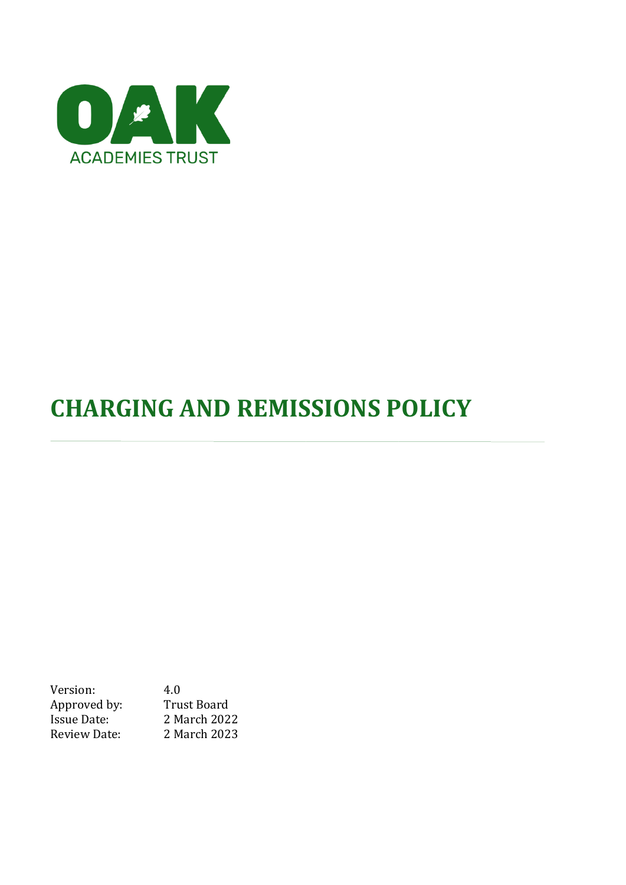

# **CHARGING AND REMISSIONS POLICY**

Version: 4.0 Approved by: Trust Board Issue Date: 2 March 2022 Review Date: 2 March 2023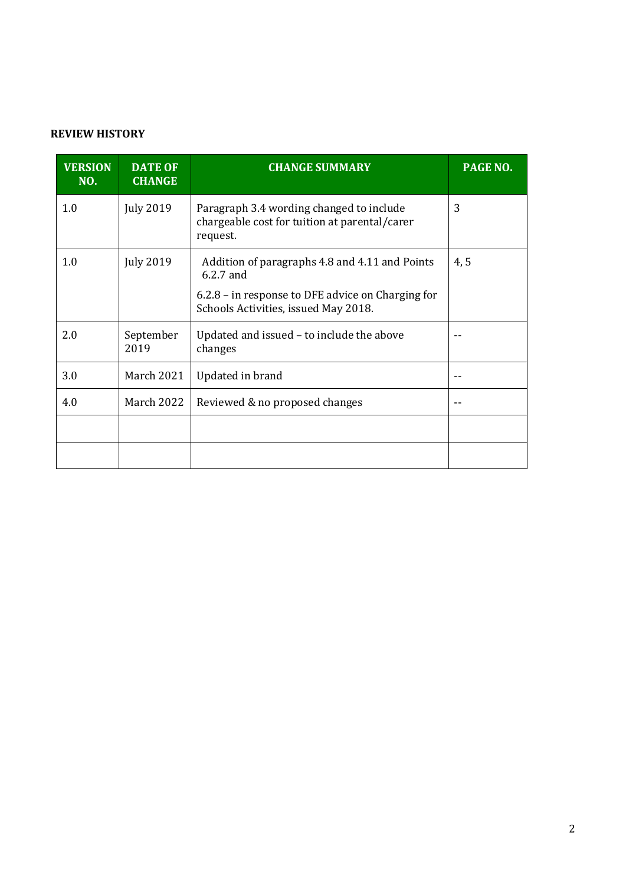# **REVIEW HISTORY**

| <b>VERSION</b><br>NO. | <b>DATE OF</b><br><b>CHANGE</b> | <b>CHANGE SUMMARY</b>                                                                                 | PAGE NO. |
|-----------------------|---------------------------------|-------------------------------------------------------------------------------------------------------|----------|
| 1.0                   | <b>July 2019</b>                | Paragraph 3.4 wording changed to include<br>chargeable cost for tuition at parental/carer<br>request. | 3        |
| 1.0                   | <b>July 2019</b>                | Addition of paragraphs 4.8 and 4.11 and Points<br>$6.2.7$ and                                         | 4, 5     |
|                       |                                 | 6.2.8 – in response to DFE advice on Charging for<br>Schools Activities, issued May 2018.             |          |
| 2.0                   | September<br>2019               | Updated and issued - to include the above<br>changes                                                  |          |
| 3.0                   | <b>March 2021</b>               | Updated in brand                                                                                      |          |
| 4.0                   | <b>March 2022</b>               | Reviewed & no proposed changes                                                                        |          |
|                       |                                 |                                                                                                       |          |
|                       |                                 |                                                                                                       |          |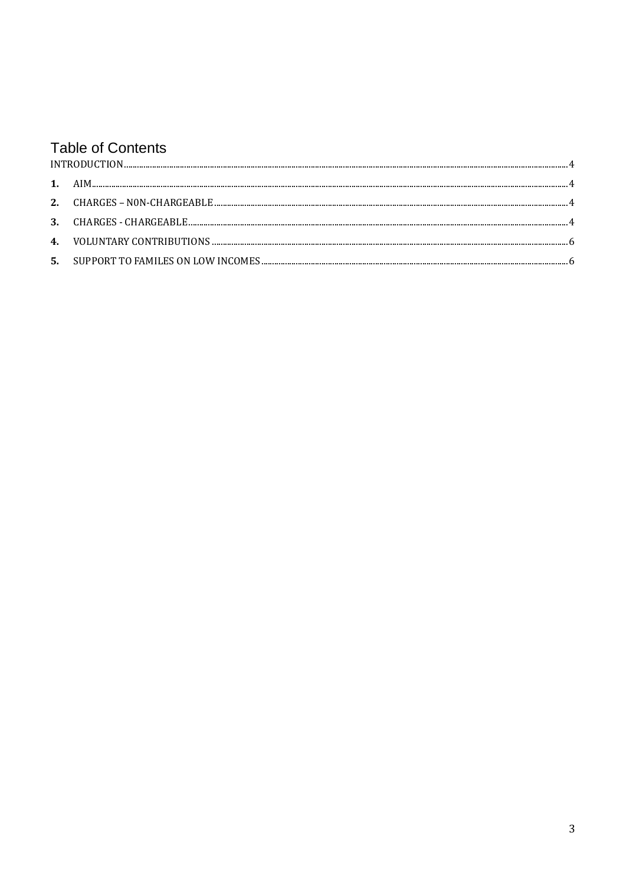# **Table of Contents**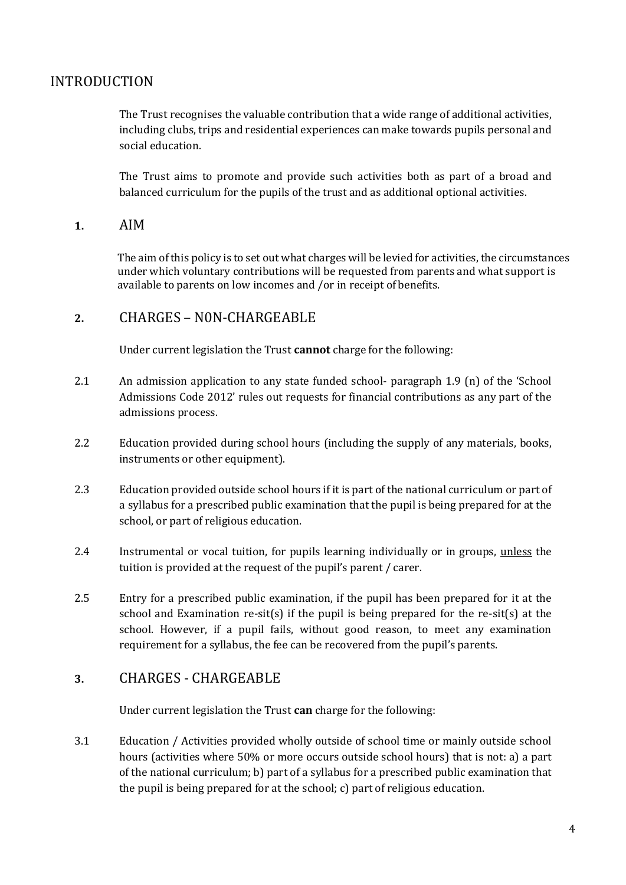# <span id="page-3-0"></span>INTRODUCTION

The Trust recognises the valuable contribution that a wide range of additional activities, including clubs, trips and residential experiences can make towards pupils personal and social education.

The Trust aims to promote and provide such activities both as part of a broad and balanced curriculum for the pupils of the trust and as additional optional activities.

#### <span id="page-3-1"></span>**1.** AIM

The aim ofthis policy is to set out what charges will be levied for activities, the circumstances under which voluntary contributions will be requested from parents and what support is available to parents on low incomes and /or in receipt of benefits.

#### <span id="page-3-2"></span>**2.** CHARGES – N0N-CHARGEABLE

Under current legislation the Trust **cannot** charge for the following:

- 2.1 An admission application to any state funded school- paragraph 1.9 (n) of the 'School Admissions Code 2012' rules out requests for financial contributions as any part of the admissions process.
- 2.2 Education provided during school hours (including the supply of any materials, books, instruments or other equipment).
- 2.3 Education provided outside school hours if it is part of the national curriculum or part of a syllabus for a prescribed public examination that the pupil is being prepared for at the school, or part of religious education.
- 2.4 Instrumental or vocal tuition, for pupils learning individually or in groups, unless the tuition is provided at the request of the pupil's parent / carer.
- 2.5 Entry for a prescribed public examination, if the pupil has been prepared for it at the school and Examination re-sit(s) if the pupil is being prepared for the re-sit(s) at the school. However, if a pupil fails, without good reason, to meet any examination requirement for a syllabus, the fee can be recovered from the pupil's parents.

## <span id="page-3-3"></span>**3.** CHARGES - CHARGEABLE

Under current legislation the Trust **can** charge for the following:

3.1 Education / Activities provided wholly outside of school time or mainly outside school hours (activities where 50% or more occurs outside school hours) that is not: a) a part of the national curriculum; b) part of a syllabus for a prescribed public examination that the pupil is being prepared for at the school; c) part of religious education.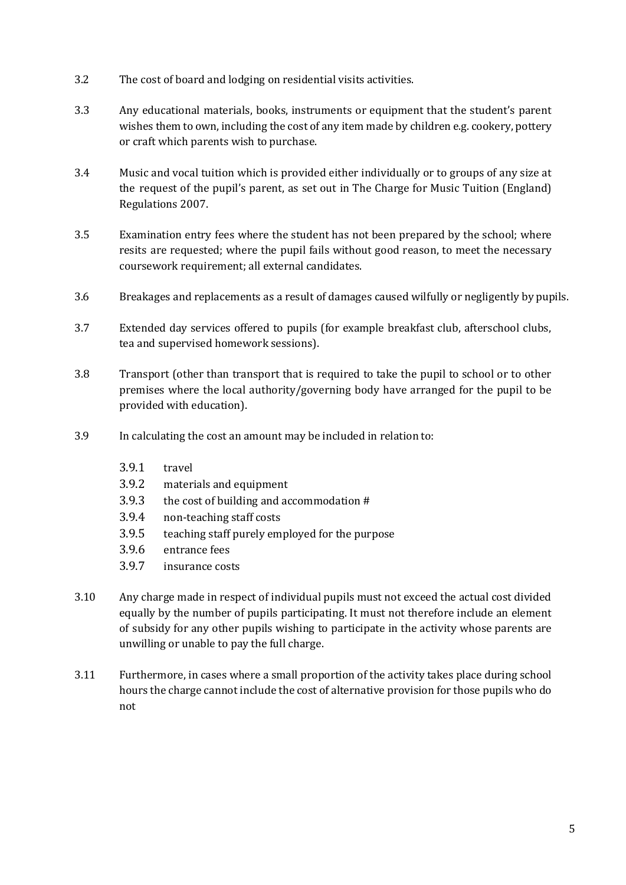- 3.2 The cost of board and lodging on residential visits activities.
- 3.3 Any educational materials, books, instruments or equipment that the student's parent wishes them to own, including the cost of any item made by children e.g. cookery, pottery or craft which parents wish to purchase.
- 3.4 Music and vocal tuition which is provided either individually or to groups of any size at the request of the pupil's parent, as set out in The Charge for Music Tuition (England) Regulations 2007.
- 3.5 Examination entry fees where the student has not been prepared by the school; where resits are requested; where the pupil fails without good reason, to meet the necessary coursework requirement; all external candidates.
- 3.6 Breakages and replacements as a result of damages caused wilfully or negligently by pupils.
- 3.7 Extended day services offered to pupils (for example breakfast club, afterschool clubs, tea and supervised homework sessions).
- 3.8 Transport (other than transport that is required to take the pupil to school or to other premises where the local authority/governing body have arranged for the pupil to be provided with education).
- 3.9 In calculating the cost an amount may be included in relation to:
	- 3.9.1 travel
	- 3.9.2 materials and equipment
	- 3.9.3 the cost of building and accommodation #
	- 3.9.4 non-teaching staff costs
	- 3.9.5 teaching staff purely employed for the purpose
	- 3.9.6 entrance fees
	- 3.9.7 insurance costs
- 3.10 Any charge made in respect of individual pupils must not exceed the actual cost divided equally by the number of pupils participating. It must not therefore include an element of subsidy for any other pupils wishing to participate in the activity whose parents are unwilling or unable to pay the full charge.
- 3.11 Furthermore, in cases where a small proportion of the activity takes place during school hours the charge cannot include the cost of alternative provision for those pupils who do not